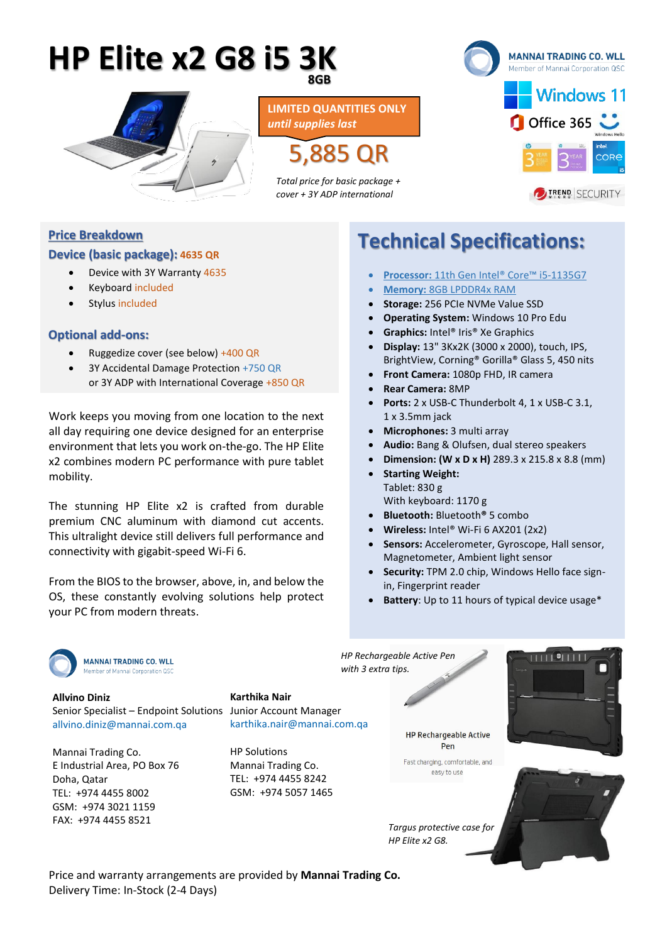# **HP Elite x2 G8 i5 3K 8GB**



5,885 QR **LIMITED QUANTITIES ONLY** *until supplies last*

*Total price for basic package + cover + 3Y ADP international*



### **Price Breakdown**

#### **Device (basic package): 4635 QR**

- Device with 3Y Warranty 4635
- Keyboard included
- Stylus included

#### **Optional add-ons:**

- Ruggedize cover (see below) +400 QR
- 3Y Accidental Damage Protection +750 QR or 3Y ADP with International Coverage +850 QR

Work keeps you moving from one location to the next all day requiring one device designed for an enterprise environment that lets you work on-the-go. The HP Elite x2 combines modern PC performance with pure tablet mobility.

The stunning HP Elite x2 is crafted from durable premium CNC aluminum with diamond cut accents. This ultralight device still delivers full performance and connectivity with gigabit-speed Wi-Fi 6.

From the BIOS to the browser, above, in, and below the OS, these constantly evolving solutions help protect your PC from modern threats.

# **Technical Specifications:**

- **Processor:** 11th Gen Intel® Core™ i5-1135G7
- **Memory:** 8GB LPDDR4x RAM
- **Storage:** 256 PCIe NVMe Value SSD
- **Operating System:** Windows 10 Pro Edu
- **Graphics:** Intel® Iris® Xe Graphics
- **Display:** 13" 3Kx2K (3000 x 2000), touch, IPS, BrightView, Corning® Gorilla® Glass 5, 450 nits
- **Front Camera:** 1080p FHD, IR camera
- **Rear Camera:** 8MP
- **Ports:** 2 x USB-C Thunderbolt 4, 1 x USB-C 3.1, 1 x 3.5mm jack
- **Microphones:** 3 multi array
- **Audio:** Bang & Olufsen, dual stereo speakers
- **Dimension: (W x D x H)** 289.3 x 215.8 x 8.8 (mm)
- **Starting Weight:** Tablet: 830 g With keyboard: 1170 g
- **Bluetooth:** Bluetooth**®** 5 combo
- **Wireless:** Intel® Wi-Fi 6 AX201 (2x2)
- **Sensors:** Accelerometer, Gyroscope, Hall sensor, Magnetometer, Ambient light sensor
- **Security:** TPM 2.0 chip, Windows Hello face signin, Fingerprint reader
- **Battery**: Up to 11 hours of typical device usage\*

**MANNAI TRADING CO. WILL** of Mannai Corporation QS

Senior Specialist – Endpoint Solutions Junior Account Manager **Allvino Diniz** [allvino.diniz@mannai.com.qa](mailto:allvino.diniz@mannai.com.qa)

Delivery Time: In-Stock (2-4 Days)

Mannai Trading Co. E Industrial Area, PO Box 76 Doha, Qatar TEL: +974 4455 8002 GSM: +974 3021 1159 FAX: +974 4455 8521

**Karthika Nair** [karthika.nair@mannai.com.qa](mailto:karthika.nair@mannai.com.qa)

HP Solutions Mannai Trading Co. TEL: +974 4455 8242 GSM: +974 5057 1465

Price and warranty arrangements are provided by **Mannai Trading Co.**

*with 3 extra tips.*

*HP Rechargeable Active Pen*

**HP Rechargeable Active** Pen

Fast charging, comfortable, and easy to use

*Targus protective case for HP Elite x2 G8.*